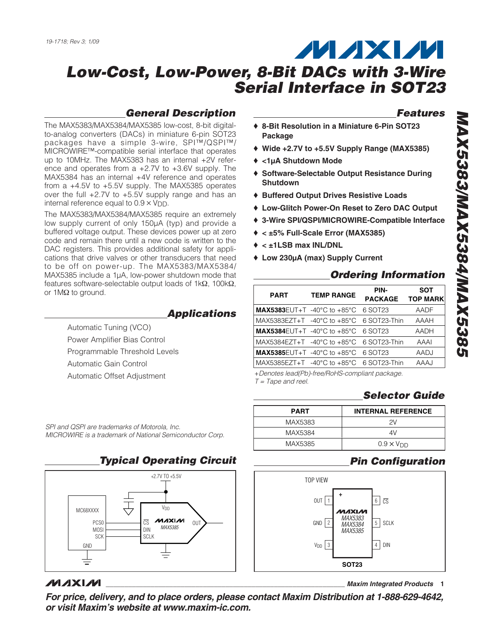### **General Description**

The MAX5383/MAX5384/MAX5385 low-cost, 8-bit digitalto-analog converters (DACs) in miniature 6-pin SOT23 packages have a simple 3-wire, SPI™/QSPI™/ MICROWIRE™-compatible serial interface that operates up to 10MHz. The MAX5383 has an internal +2V reference and operates from a +2.7V to +3.6V supply. The MAX5384 has an internal +4V reference and operates from a +4.5V to +5.5V supply. The MAX5385 operates over the full +2.7V to +5.5V supply range and has an internal reference equal to  $0.9 \times V_{\text{DD}}$ .

The MAX5383/MAX5384/MAX5385 require an extremely low supply current of only 150µA (typ) and provide a buffered voltage output. These devices power up at zero code and remain there until a new code is written to the DAC registers. This provides additional safety for applications that drive valves or other transducers that need to be off on power-up. The MAX5383/MAX5384/ MAX5385 include a 1µA, low-power shutdown mode that features software-selectable output loads of 1kΩ, 100kΩ, or 1MΩ to ground.

### **Applications**

Automatic Tuning (VCO) Power Amplifier Bias Control Programmable Threshold Levels Automatic Gain Control Automatic Offset Adjustment

SPI and QSPI are trademarks of Motorola, Inc. MICROWIRE is a trademark of National Semiconductor Corp.



# **MAXIM**

**\_\_\_\_\_\_\_\_\_\_\_\_\_\_\_\_\_\_\_\_\_\_\_\_\_\_\_\_\_\_\_\_\_\_\_\_\_\_\_\_\_\_\_\_\_\_\_\_\_\_\_\_\_\_\_\_\_\_\_\_\_\_\_\_ Maxim Integrated Products 1**

**Features**

- ♦ **8-Bit Resolution in a Miniature 6-Pin SOT23 Package**
- ♦ **Wide +2.7V to +5.5V Supply Range (MAX5385)**
- ♦ **<1µA Shutdown Mode**
- ♦ **Software-Selectable Output Resistance During Shutdown**
- ♦ **Buffered Output Drives Resistive Loads**
- ♦ **Low-Glitch Power-On Reset to Zero DAC Output**
- ♦ **3-Wire SPI/QSPI/MICROWIRE-Compatible Interface**
- ♦ **< ±5% Full-Scale Error (MAX5385)**
- ♦ **< ±1LSB max INL/DNL**
- ♦ **Low 230µA (max) Supply Current**

# **Ordering Information**

| <b>PART</b>                                                  | <b>TEMP RANGE</b> | PIN-<br><b>PACKAGE</b> | <b>SOT</b><br><b>TOP MARK</b> |
|--------------------------------------------------------------|-------------------|------------------------|-------------------------------|
| <b>MAX5383</b> EUT+T -40°C to +85°C 6 SOT23                  |                   |                        | AADF                          |
| MAX5383EZT+T $-40^{\circ}$ C to $+85^{\circ}$ C 6 SOT23-Thin |                   |                        | AAAH                          |
| <b>MAX5384</b> EUT+T -40°C to +85°C 6 SOT23                  |                   |                        | AADH                          |
| MAX5384EZT+T $-40^{\circ}$ C to $+85^{\circ}$ C 6 SOT23-Thin |                   |                        | AAAI                          |
| <b>MAX5385</b> EUT+T -40°C to +85°C 6 SOT23                  |                   |                        | AADJ                          |
| MAX5385EZT+T $-40^{\circ}$ C to $+85^{\circ}$ C 6 SOT23-Thin |                   |                        | AAAJ                          |

+Denotes lead(Pb)-free/RoHS-compliant package.  $T = \text{Tape}$  and reel.

# **Selector Guide**

| <b>PART</b> | <b>INTERNAL REFERENCE</b> |
|-------------|---------------------------|
| MAX5383     | 2V                        |
| MAX5384     | 4V                        |
| MAX5385     | $0.9 \times V_{DD}$       |

# **Pin Configuration**



**For price, delivery, and to place orders, please contact Maxim Distribution at 1-888-629-4642, or visit Maxim's website at www.maxim-ic.com.**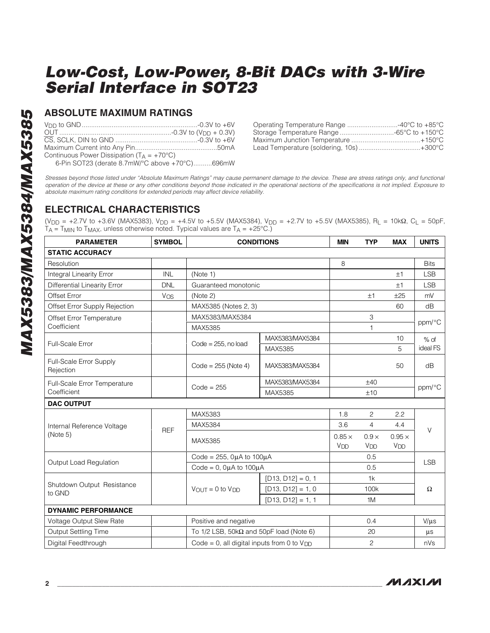### **ABSOLUTE MAXIMUM RATINGS**

|                                                                                                                                                                                                                                                                    | Op <sub>t</sub> |
|--------------------------------------------------------------------------------------------------------------------------------------------------------------------------------------------------------------------------------------------------------------------|-----------------|
|                                                                                                                                                                                                                                                                    | Sto             |
|                                                                                                                                                                                                                                                                    | Max             |
|                                                                                                                                                                                                                                                                    | Lea             |
| Continuous Power Dissipation $(T_A = +70^{\circ}C)$<br>6-Pin SOT23 (derate 8.7mW/°C above +70°C)696mW                                                                                                                                                              |                 |
| Stresses beyond those listed under "Absolute Maximum Ratings" may cause permane<br>operation of the device at these or any other conditions beyond those indicated in the<br>absolute maximum rating conditions for extended periods may affect device reliability |                 |

| Operating Temperature Range 40°C to +85°C |  |
|-------------------------------------------|--|
| Storage Temperature Range -65°C to +150°C |  |
|                                           |  |
| Lead Temperature (soldering, 10s)+300°C   |  |

Stresses beyond those listed under "Absolute Maximum Ratings" may cause permanent damage to the device. These are stress ratings only, and functional operation of the device at these or any other conditions beyond those indicated in the operational sections of the specifications is not implied. Exposure to absolute maximum rating conditions for extended periods may affe

### **ELECTRICAL CHARACTERISTICS**

(V<sub>DD</sub> = +2.7V to +3.6V (MAX5383), V<sub>DD</sub> = +4.5V to +5.5V (MAX5384), V<sub>DD</sub> = +2.7V to +5.5V (MAX5385), R<sub>L</sub> = 10kΩ, C<sub>L</sub> = 50pF,  $T_A$  = T<sub>MIN</sub> to T<sub>MAX</sub>, unless otherwise noted. Typical values are T<sub>A</sub> = +25°C.)

| <b>PARAMETER</b>                     | <b>SYMBOL</b> |                                                 | <b>CONDITIONS</b>                                  | <b>MIN</b>                       | <b>TYP</b>                      | <b>MAX</b>                             | <b>UNITS</b> |  |
|--------------------------------------|---------------|-------------------------------------------------|----------------------------------------------------|----------------------------------|---------------------------------|----------------------------------------|--------------|--|
| <b>STATIC ACCURACY</b>               |               |                                                 |                                                    |                                  |                                 |                                        |              |  |
| Resolution                           |               |                                                 |                                                    | 8                                |                                 |                                        | <b>Bits</b>  |  |
| <b>Integral Linearity Error</b>      | <b>INL</b>    | (Note 1)                                        |                                                    |                                  |                                 | ±1                                     | <b>LSB</b>   |  |
| <b>Differential Linearity Error</b>  | <b>DNL</b>    | Guaranteed monotonic                            |                                                    |                                  |                                 | ±1                                     | <b>LSB</b>   |  |
| <b>Offset Error</b>                  | $V_{OS}$      | (Note 2)                                        |                                                    |                                  | ±1                              | ±25                                    | mV           |  |
| Offset Error Supply Rejection        |               | MAX5385 (Notes 2, 3)                            |                                                    |                                  |                                 | 60                                     | dB           |  |
| Offset Error Temperature             |               | MAX5383/MAX5384                                 |                                                    |                                  | 3                               |                                        |              |  |
| Coefficient                          |               | MAX5385                                         |                                                    |                                  | 1                               |                                        | ppm/°C       |  |
|                                      |               |                                                 | MAX5383/MAX5384                                    |                                  |                                 | 10                                     | $%$ of       |  |
| Full-Scale Error                     |               | $Code = 255$ , no load                          | MAX5385                                            |                                  |                                 | 5                                      | ideal FS     |  |
| Full-Scale Error Supply<br>Rejection |               | $Code = 255 (Note 4)$                           | MAX5383/MAX5384                                    |                                  |                                 | 50                                     | dB           |  |
| Full-Scale Error Temperature         |               |                                                 | MAX5383/MAX5384                                    |                                  | ±40                             |                                        | ppm/°C       |  |
| Coefficient                          |               | $Code = 255$                                    | MAX5385                                            |                                  | ±10                             |                                        |              |  |
| <b>DAC OUTPUT</b>                    |               |                                                 |                                                    |                                  |                                 |                                        |              |  |
|                                      |               | MAX5383                                         |                                                    | 1.8                              | $\overline{c}$                  | 2.2                                    |              |  |
| Internal Reference Voltage           | <b>REF</b>    | MAX5384                                         |                                                    | 3.6                              | 4                               | 4.4                                    | $\vee$       |  |
| (Note 5)                             |               | MAX5385                                         |                                                    | $0.85 \times$<br>V <sub>DD</sub> | $0.9 \times$<br>V <sub>DD</sub> | $0.95 \times$<br><b>V<sub>DD</sub></b> |              |  |
|                                      |               | Code = $255$ , $0\mu$ A to $100\mu$ A           |                                                    |                                  | 0.5                             |                                        |              |  |
| Output Load Regulation               |               | Code = $0$ , $0\mu A$ to $100\mu A$             |                                                    |                                  | 0.5                             |                                        | <b>LSB</b>   |  |
|                                      |               |                                                 | $[D13, D12] = 0, 1$                                |                                  | 1k                              |                                        |              |  |
| Shutdown Output Resistance<br>to GND |               | $V_{OUT} = 0$ to $V_{DD}$                       | $[D13, D12] = 1, 0$                                |                                  | 100k                            |                                        | $\Omega$     |  |
|                                      |               |                                                 | $[D13, D12] = 1, 1$                                |                                  | 1M                              |                                        |              |  |
| <b>DYNAMIC PERFORMANCE</b>           |               |                                                 |                                                    |                                  |                                 |                                        |              |  |
| Voltage Output Slew Rate             |               | Positive and negative                           |                                                    |                                  | 0.4                             |                                        | $V/\mu s$    |  |
| Output Settling Time                 |               |                                                 | To $1/2$ LSB, $50k\Omega$ and $50pF$ load (Note 6) |                                  | 20                              |                                        | $\mu$ s      |  |
| Digital Feedthrough                  |               | Code = 0, all digital inputs from 0 to $V_{DD}$ |                                                    |                                  | $\overline{c}$                  |                                        | nVs          |  |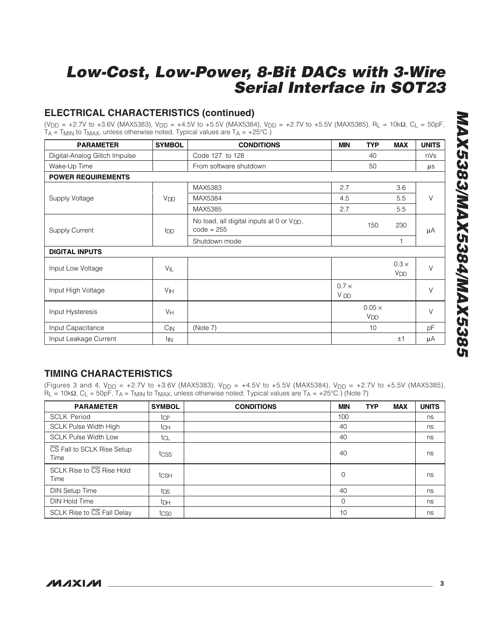# **ELECTRICAL CHARACTERISTICS (continued)**

(V<sub>DD</sub> = +2.7V to +3.6V (MAX5383), V<sub>DD</sub> = +4.5V to +5.5V (MAX5384), V<sub>DD</sub> = +2.7V to +5.5V (MAX5385), R<sub>L</sub> = 10kΩ, C<sub>L</sub> = 50pF,  $T_A$  = T<sub>MIN</sub> to T<sub>MAX</sub>, unless otherwise noted. Typical values are T<sub>A</sub> = +25°C.)

| <b>PARAMETER</b>              | <b>SYMBOL</b>     | <b>CONDITIONS</b>                                                     | <b>MIN</b>                      | <b>TYP</b>                       | <b>MAX</b>                            | <b>UNITS</b> |
|-------------------------------|-------------------|-----------------------------------------------------------------------|---------------------------------|----------------------------------|---------------------------------------|--------------|
| Digital-Analog Glitch Impulse |                   | Code 127 to 128                                                       |                                 | 40                               |                                       | nVs          |
| Wake-Up Time                  |                   | From software shutdown                                                |                                 | 50                               |                                       | $\mu$ s      |
| <b>POWER REQUIREMENTS</b>     |                   |                                                                       |                                 |                                  |                                       |              |
|                               |                   | MAX5383                                                               | 2.7                             |                                  | 3.6                                   |              |
| Supply Voltage                | V <sub>DD</sub>   | MAX5384                                                               | 4.5                             |                                  | 5.5                                   | $\vee$       |
|                               |                   | MAX5385                                                               | 2.7                             |                                  | 5.5                                   |              |
| <b>Supply Current</b>         | <b>I</b> DD       | No load, all digital inputs at 0 or V <sub>DD</sub> ,<br>$code = 255$ |                                 | 150                              | 230                                   | μA           |
|                               |                   | Shutdown mode                                                         |                                 |                                  | $\mathbf{1}$                          |              |
| <b>DIGITAL INPUTS</b>         |                   |                                                                       |                                 |                                  |                                       |              |
| Input Low Voltage             | $V_{\parallel L}$ |                                                                       |                                 |                                  | $0.3 \times$<br><b>V<sub>DD</sub></b> | $\vee$       |
| Input High Voltage            | V <sub>IH</sub>   |                                                                       | $0.7 \times$<br>V <sub>DD</sub> |                                  |                                       | V            |
| Input Hysteresis              | VH                |                                                                       |                                 | $0.05 \times$<br>V <sub>DD</sub> |                                       | $\vee$       |
| Input Capacitance             | $C_{\text{IN}}$   | (Note 7)                                                              |                                 | 10                               |                                       | pF           |
| Input Leakage Current         | <sup>I</sup> IN   |                                                                       |                                 |                                  | ±1                                    | μA           |

# **TIMING CHARACTERISTICS**

(Figures 3 and 4,  $V_{DD} = +2.7V$  to +3.6V (MAX5383),  $V_{DD} = +4.5V$  to +5.5V (MAX5384),  $V_{DD} = +2.7V$  to +5.5V (MAX5385),  $R_L = 10k\Omega$ , C<sub>L</sub> = 50pF, T<sub>A</sub> = T<sub>MIN</sub> to T<sub>MAX</sub>, unless otherwise noted. Typical values are T<sub>A</sub> = +25°C.) (Note 7)

| <b>PARAMETER</b>                   | <b>SYMBOL</b>    | <b>CONDITIONS</b> | <b>MIN</b> | <b>TYP</b> | <b>MAX</b> | <b>UNITS</b> |
|------------------------------------|------------------|-------------------|------------|------------|------------|--------------|
| <b>SCLK Period</b>                 | tcp              |                   | 100        |            |            | ns           |
| <b>SCLK Pulse Width High</b>       | tch              |                   | 40         |            |            | ns           |
| <b>SCLK Pulse Width Low</b>        | tcL              |                   | 40         |            |            | ns           |
| CS Fall to SCLK Rise Setup<br>Time | tcss             |                   | 40         |            |            | ns           |
| SCLK Rise to CS Rise Hold<br>Time  | tcs <sub>H</sub> |                   | $\Omega$   |            |            | ns           |
| <b>DIN Setup Time</b>              | tps              |                   | 40         |            |            | ns           |
| DIN Hold Time                      | t <sub>DH</sub>  |                   | $\Omega$   |            |            | ns           |
| SCLK Rise to CS Fall Delay         | tcso             |                   | 10         |            |            | ns           |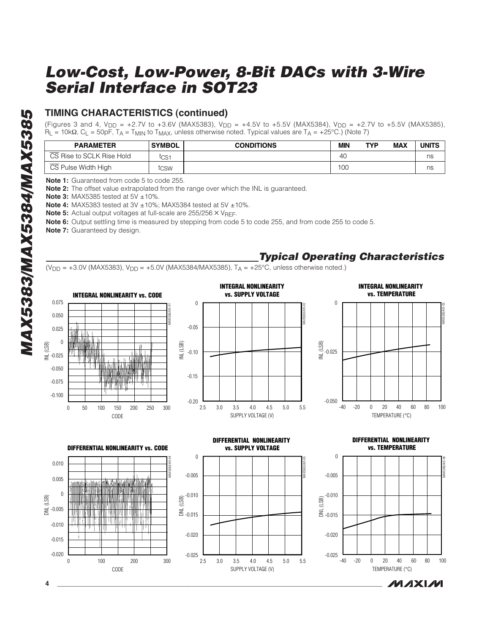# **TIMING CHARACTERISTICS (continued)**

(Figures 3 and 4, V<sub>DD</sub> = +2.7V to +3.6V (MAX5383), V<sub>DD</sub> = +4.5V to +5.5V (MAX5384), V<sub>DD</sub> = +2.7V to +5.5V (MAX5385),  $R_L$  = 10kΩ, C<sub>L</sub> = 50pF, T<sub>A</sub> = T<sub>MIN</sub> to T<sub>MAX</sub>, unless otherwise noted. Typical values are T<sub>A</sub> = +25°C.) (Note 7)

| <b>PARAMETER</b>          | <b>SYMBOL</b> | <b>CONDITIONS</b> | MIN | <b>TYP</b> | <b>MAX</b> | UNITS |
|---------------------------|---------------|-------------------|-----|------------|------------|-------|
| CS Rise to SCLK Rise Hold | tcs1          |                   | 40  |            |            | ns    |
| CS Pulse Width High       | tcsw          |                   | 100 |            |            | ns    |

**Note 1:** Guaranteed from code 5 to code 255.

**Note 2:** The offset value extrapolated from the range over which the INL is guaranteed.

**Note 3: MAX5385 tested at 5V ±10%.** 

**Note 4:** MAX5383 tested at 3V ±10%; MAX5384 tested at 5V ±10%.

**Note 5:** Actual output voltages at full-scale are 255/256 × V<sub>REF</sub>.

**Note 6:** Output settling time is measured by stepping from code 5 to code 255, and from code 255 to code 5.

**Note 7:** Guaranteed by design.



**Typical Operating Characteristics**

 $(V_{DD} = +3.0V (MAX5383), V_{DD} = +5.0V (MAX5384/MAX5385), T_A = +25°C$ , unless otherwise noted.)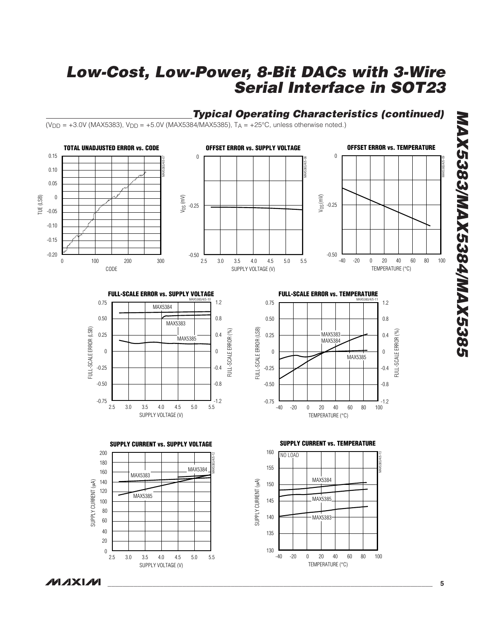# **Typical Operating Characteristics (continued)**

 $(V_{DD} = +3.0V$  (MAX5383),  $V_{DD} = +5.0V$  (MAX5384/MAX5385), T<sub>A</sub> =  $+25^{\circ}$ C, unless otherwise noted.)



150

145

SUPPLY CURRENT (µA)

SUPPLY CURRENT (µA)

140

135

130

-40 20 -20 0 40 60 80 100

MAX5385

MAX5383

TEMPERATURE ( °C)

140 120 100

SUPPLY CURRENT (µA)

SUPPLY CURRENT (uA)

60 80

20 40

 $\boldsymbol{0}$ 

2.5 4.0 3.0 3.5 4.5 5.0 5.5

MAX5385

SUPPLY VOLTAGE (V)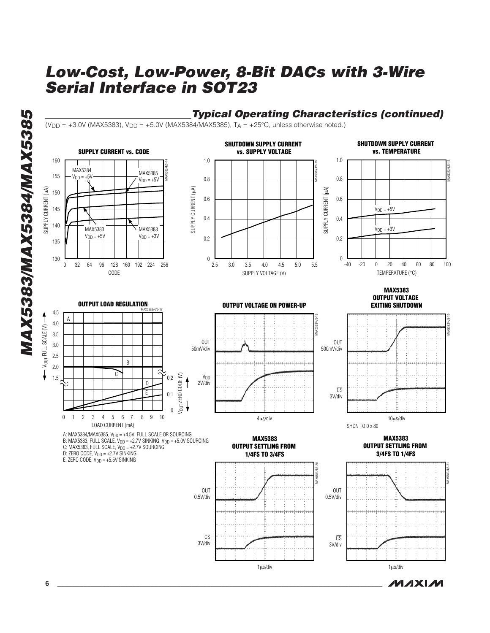

**6 \_\_\_\_\_\_\_\_\_\_\_\_\_\_\_\_\_\_\_\_\_\_\_\_\_\_\_\_\_\_\_\_\_\_\_\_\_\_\_\_\_\_\_\_\_\_\_\_\_\_\_\_\_\_\_\_\_\_\_\_\_\_\_\_\_\_\_\_\_\_\_\_\_\_\_\_\_\_\_\_\_\_\_\_\_\_\_**

**MAXM**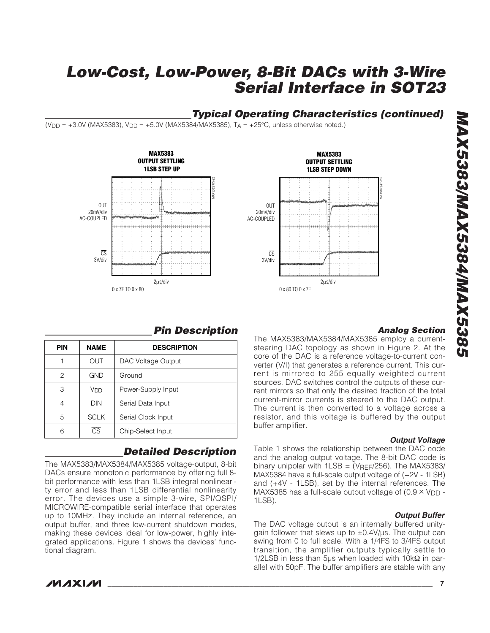# **Typical Operating Characteristics (continued)**

 $(V_{DD} = +3.0V$  (MAX5383),  $V_{DD} = +5.0V$  (MAX5384/MAX5385),  $T_A = +25°C$ , unless otherwise noted.)





### **Analog Section**

The MAX5383/MAX5384/MAX5385 employ a currentsteering DAC topology as shown in Figure 2. At the core of the DAC is a reference voltage-to-current converter (V/I) that generates a reference current. This current is mirrored to 255 equally weighted current sources. DAC switches control the outputs of these current mirrors so that only the desired fraction of the total current-mirror currents is steered to the DAC output. The current is then converted to a voltage across a resistor, and this voltage is buffered by the output buffer amplifier.

#### **Output Voltage**

Table 1 shows the relationship between the DAC code and the analog output voltage. The 8-bit DAC code is binary unipolar with  $1LSB = (V_{REF}/256)$ . The MAX5383/ MAX5384 have a full-scale output voltage of (+2V - 1LSB) and (+4V - 1LSB), set by the internal references. The MAX5385 has a full-scale output voltage of  $(0.9 \times V_{\text{DD}} -$ 1LSB).

### **Output Buffer**

The DAC voltage output is an internally buffered unitygain follower that slews up to  $\pm$ 0.4V/ $\mu$ s. The output can swing from 0 to full scale. With a 1/4FS to 3/4FS output transition, the amplifier outputs typically settle to 1/2LSB in less than 5µs when loaded with 10kΩ in parallel with 50pF. The buffer amplifiers are stable with any

# **Pin Description**

| <b>PIN</b> | <b>NAME</b>            | <b>DESCRIPTION</b> |
|------------|------------------------|--------------------|
|            | OUT                    | DAC Voltage Output |
| 2          | GND                    | Ground             |
| 3          | V <sub>DD</sub>        | Power-Supply Input |
|            | <b>DIN</b>             | Serial Data Input  |
| 5          | <b>SCLK</b>            | Serial Clock Input |
| 6          | $\overline{\text{CS}}$ | Chip-Select Input  |

# **Detailed Description**

The MAX5383/MAX5384/MAX5385 voltage-output, 8-bit DACs ensure monotonic performance by offering full 8 bit performance with less than 1LSB integral nonlinearity error and less than 1LSB differential nonlinearity error. The devices use a simple 3-wire, SPI/QSPI/ MICROWIRE-compatible serial interface that operates up to 10MHz. They include an internal reference, an output buffer, and three low-current shutdown modes, making these devices ideal for low-power, highly integrated applications. Figure 1 shows the devices' functional diagram.



**\_\_\_\_\_\_\_\_\_\_\_\_\_\_\_\_\_\_\_\_\_\_\_\_\_\_\_\_\_\_\_\_\_\_\_\_\_\_\_\_\_\_\_\_\_\_\_\_\_\_\_\_\_\_\_\_\_\_\_\_\_\_\_\_\_\_\_\_\_\_\_\_\_\_\_\_\_\_\_\_\_\_\_\_\_\_\_ 7**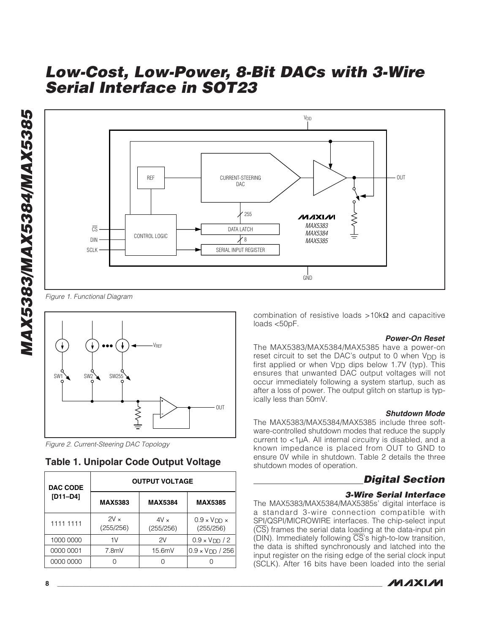



Figure 1. Functional Diagram



Figure 2. Current-Steering DAC Topology

### **Table 1. Unipolar Code Output Voltage**

| <b>DAC CODE</b> | <b>OUTPUT VOLTAGE</b> |                          |                                         |  |  |  |
|-----------------|-----------------------|--------------------------|-----------------------------------------|--|--|--|
| $[D11-D4]$      | <b>MAX5383</b>        | <b>MAX5384</b>           | <b>MAX5385</b>                          |  |  |  |
| 1111 1111       | $2V_{x}$<br>(255/256) | $4V \times$<br>(255/256) | $0.9 \times V$ DD $\times$<br>(255/256) |  |  |  |
| 1000 0000       | 1V                    | 2V                       | $0.9 \times VDD / 2$                    |  |  |  |
| 0000 0001       | 7.8mV                 | 15.6mV                   | $0.9 \times V$ DD / 256                 |  |  |  |
| 0000 0000       |                       |                          |                                         |  |  |  |

combination of resistive loads >10kΩ and capacitive loads <50pF.

#### **Power-On Reset**

The MAX5383/MAX5384/MAX5385 have a power-on reset circuit to set the DAC's output to 0 when  $V_{DD}$  is first applied or when V<sub>DD</sub> dips below 1.7V (typ). This ensures that unwanted DAC output voltages will not occur immediately following a system startup, such as after a loss of power. The output glitch on startup is typically less than 50mV.

#### **Shutdown Mode**

The MAX5383/MAX5384/MAX5385 include three software-controlled shutdown modes that reduce the supply current to <1µA. All internal circuitry is disabled, and a known impedance is placed from OUT to GND to ensure 0V while in shutdown. Table 2 details the three shutdown modes of operation.

### **Digital Section**

### **3-Wire Serial Interface**

The MAX5383/MAX5384/MAX5385s' digital interface is a standard 3-wire connection compatible with SPI/QSPI/MICROWIRE interfaces. The chip-select input (CS) frames the serial data loading at the data-input pin (DIN). Immediately following CS's high-to-low transition, the data is shifted synchronously and latched into the input register on the rising edge of the serial clock input (SCLK). After 16 bits have been loaded into the serial

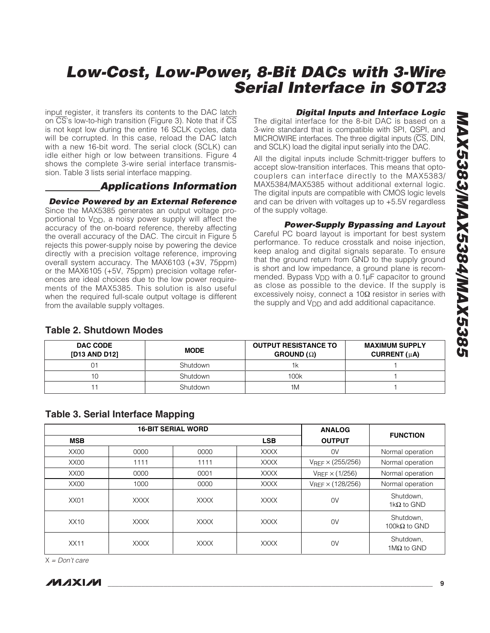input register, it transfers its contents to the DAC latch on  $\overline{CS}$ 's low-to-high transition (Figure 3). Note that if  $\overline{CS}$ is not kept low during the entire 16 SCLK cycles, data will be corrupted. In this case, reload the DAC latch with a new 16-bit word. The serial clock (SCLK) can idle either high or low between transitions. Figure 4 shows the complete 3-wire serial interface transmission. Table 3 lists serial interface mapping.

### **Applications Information**

### **Device Powered by an External Reference**

Since the MAX5385 generates an output voltage proportional to V<sub>DD</sub>, a noisy power supply will affect the accuracy of the on-board reference, thereby affecting the overall accuracy of the DAC. The circuit in Figure 5 rejects this power-supply noise by powering the device directly with a precision voltage reference, improving overall system accuracy. The MAX6103 (+3V, 75ppm) or the MAX6105 (+5V, 75ppm) precision voltage references are ideal choices due to the low power requirements of the MAX5385. This solution is also useful when the required full-scale output voltage is different from the available supply voltages.

### **Digital Inputs and Interface Logic**

The digital interface for the 8-bit DAC is based on a 3-wire standard that is compatible with SPI, QSPI, and MICROWIRE interfaces. The three digital inputs (CS, DIN, and SCLK) load the digital input serially into the DAC.

All the digital inputs include Schmitt-trigger buffers to accept slow-transition interfaces. This means that optocouplers can interface directly to the MAX5383/ MAX5384/MAX5385 without additional external logic. The digital inputs are compatible with CMOS logic levels and can be driven with voltages up to +5.5V regardless of the supply voltage.

### **Power-Supply Bypassing and Layout**

Careful PC board layout is important for best system performance. To reduce crosstalk and noise injection, keep analog and digital signals separate. To ensure that the ground return from GND to the supply ground is short and low impedance, a ground plane is recommended. Bypass V<sub>DD</sub> with a 0.1µF capacitor to ground as close as possible to the device. If the supply is excessively noisy, connect a 10Ω resistor in series with the supply and V<sub>DD</sub> and add additional capacitance.

| <b>DAC CODE</b><br>[D13 AND D12] | <b>MODE</b> | <b>OUTPUT RESISTANCE TO</b><br>$G$ ROUND ( $\Omega$ ) | <b>MAXIMUM SUPPLY</b><br>CURRENT $(\mu A)$ |
|----------------------------------|-------------|-------------------------------------------------------|--------------------------------------------|
|                                  | Shutdown    |                                                       |                                            |
| 10                               | Shutdown    | 100k                                                  |                                            |
|                                  | Shutdown    | 1M                                                    |                                            |

### **Table 2. Shutdown Modes**

|  |  | <b>Table 3. Serial Interface Mapping</b> |  |
|--|--|------------------------------------------|--|
|--|--|------------------------------------------|--|

|                  | <b>16-BIT SERIAL WORD</b> |             |             | <b>ANALOG</b>              |                                   |
|------------------|---------------------------|-------------|-------------|----------------------------|-----------------------------------|
| <b>MSB</b>       |                           |             | <b>LSB</b>  | <b>OUTPUT</b>              | <b>FUNCTION</b>                   |
| XX00             | 0000                      | 0000        | <b>XXXX</b> | 0V                         | Normal operation                  |
| XX00             | 1111                      | 1111        | <b>XXXX</b> | $V_{REF} \times (255/256)$ | Normal operation                  |
| XX00             | 0000                      | 0001        | <b>XXXX</b> | $V$ REF $\times$ (1/256)   | Normal operation                  |
| XX <sub>00</sub> | 1000                      | 0000        | <b>XXXX</b> | $V_{REF} \times (128/256)$ | Normal operation                  |
| XX <sub>01</sub> | <b>XXXX</b>               | <b>XXXX</b> | <b>XXXX</b> | 0V                         | Shutdown.<br>1k $\Omega$ to GND   |
| XX10             | <b>XXXX</b>               | <b>XXXX</b> | <b>XXXX</b> | 0V                         | Shutdown,<br>100k $\Omega$ to GND |
| XX11             | <b>XXXX</b>               | <b>XXXX</b> | <b>XXXX</b> | 0V                         | Shutdown,<br>1M $\Omega$ to GND   |

 $X = Don't care$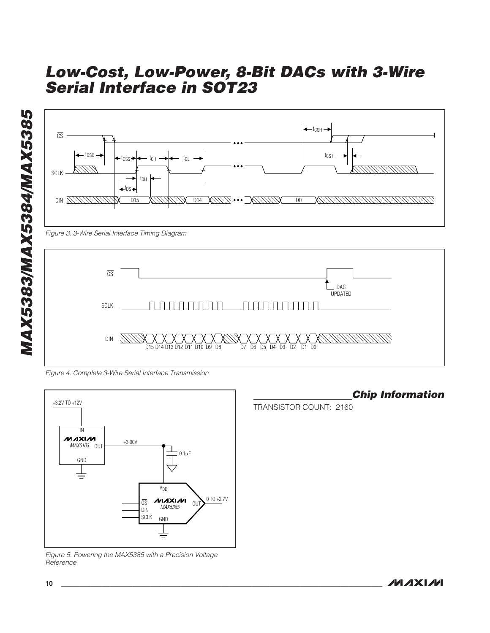



Figure 4. Complete 3-Wire Serial Interface Transmission



Figure 5. Powering the MAX5385 with a Precision Voltage Reference

**Chip Information**

```
TRANSISTOR COUNT: 2160
```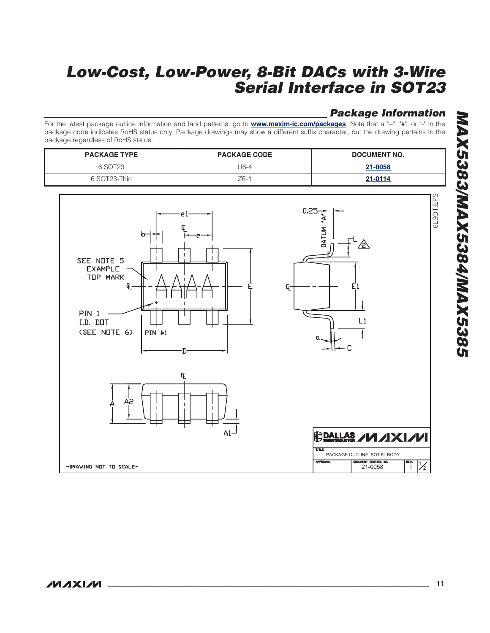# **Package Information**

For the latest package outline information and land patterns, go to **www.maxim-ic.com/packages**. Note that a "+", "#", or "-" in the package code indicates RoHS status only. Package drawings may show a different suffix character, but the drawing pertains to th e package regardless of RoHS status.

| <b>PACKAGE TYPE</b> | <b>PACKAGE CODE</b> | DOCUMENT NO. |
|---------------------|---------------------|--------------|
| 6 SOT23             | J6-4                | 21-0058      |
| 6 SOT23-Thin        | $Z6-1$              | 21-0114      |

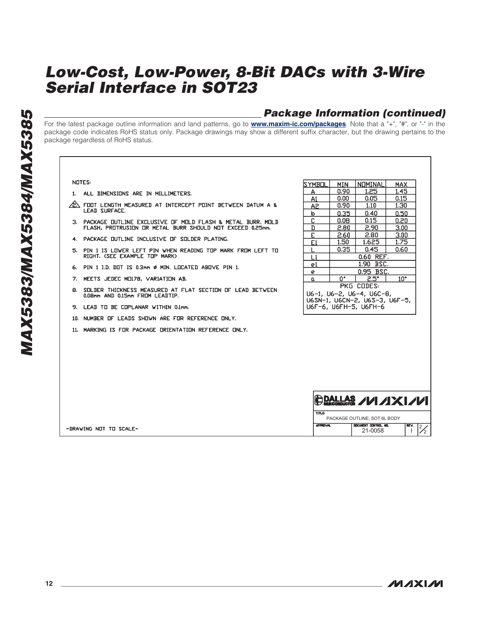### **Package Information (continued)**

For the latest package outline information and land patterns, go to **www.maxim-ic.com/packages**. Note that a "+", "#", or "-" in the package code indicates RoHS status only. Package drawings may show a different suffix character, but the drawing pertains to th e package regardless of RoHS status.

#### **NOTES:**

- 1. ALL DIMENSIONS ARE IN MILLIMETERS.
- $\hat{\mathbb{A}}$  foot length measured at intercept point between datum a & LEAD SURFACE.
- 3. PACKAGE OUTLINE EXCLUSIVE OF MOLD FLASH & METAL BURR. MOLD FLASH, PROTRUSION OR METAL BURR SHOULD NOT EXCEED 0.25mm.
- 4. PACKAGE DUTLINE INCLUSIVE OF SOLDER PLATING.
- PIN 1 IS LOWER LEFT PIN WHEN READING TOP MARK FROM LEFT TO<br>RIGHT, (SEE EXAMPLE TOP MARK) 5.
- 6. PIN 1 I.D. DOT IS 0.3mm Ø MIN. LOCATED ABOVE PIN 1.
- 7. MEETS JEDEC MO178, VARIATION AB.
- SULDER THICKNESS MEASURED AT FLAT SECTION OF LEAD BETWEEN 8. 0.08mm AND 0.15mm FROM LEADTIP.
- 9. LEAD TO BE COPLANAR WITHIN 0.1mm.
- 10. NUMBER OF LEADS SHOWN ARE FOR REFERENCE ONLY.
- 11. MARKING IS FOR PACKAGE ORIENTATION REFERENCE ONLY.

| <b>SYMBOL</b>                                                                      | MIN                           | NOMINAL   | MAX.              |  |
|------------------------------------------------------------------------------------|-------------------------------|-----------|-------------------|--|
| А                                                                                  | 0.90                          | 1.25      | 1.45              |  |
| A1                                                                                 | 0.00 <sub>1</sub>             | 0.05      | 0.15              |  |
| A2                                                                                 | 0.90                          | 1.10      | 1.30              |  |
| b                                                                                  | 0.35                          | 0.40      | 0.50              |  |
| C.                                                                                 | 0.08                          | 0.15      | 0.20              |  |
| D                                                                                  | 2.80                          | 2,90      | 3.00              |  |
| E.                                                                                 | 2.60                          | 2.80      | 3.00 <sub>1</sub> |  |
| E1                                                                                 | 1.50                          | 1.625     | 1.75              |  |
|                                                                                    | 0.35                          | 0.45      | 0.60              |  |
| L1                                                                                 | 0.60 REF.                     |           |                   |  |
| e1                                                                                 |                               | 1.90 BSC. |                   |  |
| е                                                                                  | 0.95 BSC.                     |           |                   |  |
| α                                                                                  | 10 <sup>o</sup><br>0°<br>2.5° |           |                   |  |
| PKG CODES:                                                                         |                               |           |                   |  |
| U6-1, U6-2, U6-4, U6C-8,<br>U6SN-1, U6CN-2, U6S-3, U6F-5,<br>U6F-6, U6FH-5, U6FH-6 |                               |           |                   |  |

|                       |                 | $\frac{1}{2}$ DALLAS AM AXIAM   |      |  |
|-----------------------|-----------------|---------------------------------|------|--|
|                       | TITLD           | PACKAGE OUTLINE, SOT 6L BODY    |      |  |
| DRAWING NOT TO SCALE- | <b>APPROVAL</b> | DOCUMENT CONTROL NO.<br>21-0058 | REV. |  |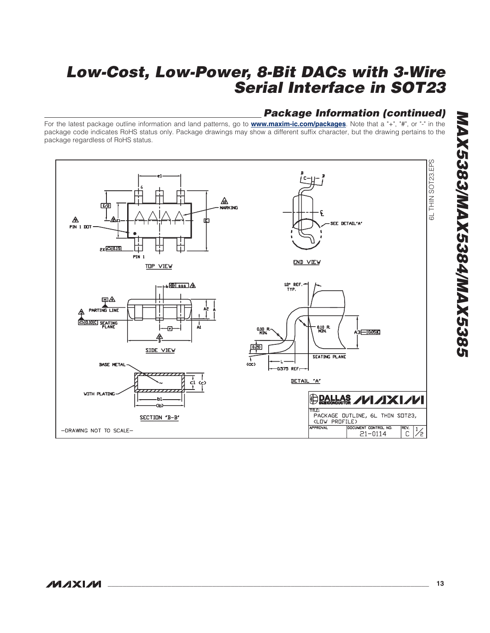# **Package Information (continued)**

For the latest package outline information and land patterns, go to **www.maxim-ic.com/packages**. Note that a "+", "#", or "-" in the package code indicates RoHS status only. Package drawings may show a different suffix character, but the drawing pertains to th e package regardless of RoHS status.

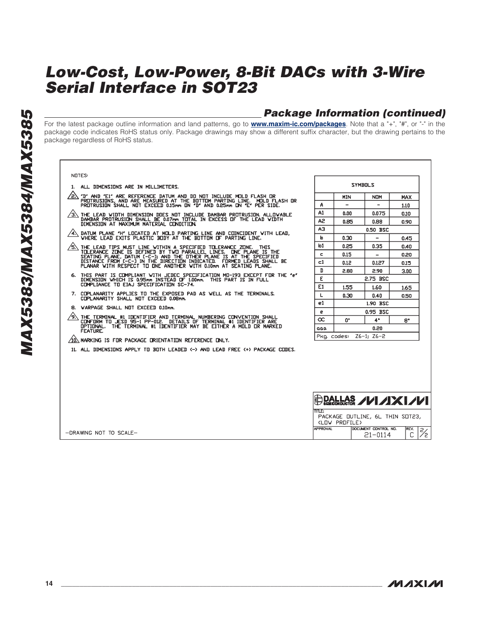# **Package Information (continued)**

For the latest package outline information and land patterns, go to **www.maxim-ic.com/packages**. Note that a "+", "#", or "-" in the package code indicates RoHS status only. Package drawings may show a different suffix character, but the drawing pertains to th e package regardless of RoHS status.

| <b>NOTES</b>                                                                                                                                                                                                           |                 |                          |                                     |                |
|------------------------------------------------------------------------------------------------------------------------------------------------------------------------------------------------------------------------|-----------------|--------------------------|-------------------------------------|----------------|
| 1. ALL DIMENSIONS ARE IN MILLIMETERS.                                                                                                                                                                                  |                 |                          | <b>SYMBOLS</b>                      |                |
| ⁄2∖<br>"D" AND "E1" ARE REFERENCE DATUM AND DO NOT INCLUDE MOLD FLASH OR                                                                                                                                               |                 | <b>MIN</b>               | <b>NDM</b>                          | MAX            |
| PROTRUSIONS, AND ARE MEASURED AT THE BOTTOM PARTING LINE. MOLD FLASH OR<br>PROTRUSION SHALL NOT EXCEED 0.15mm ON 'D' AND 0.25mm ON 'E' PER SIDE.                                                                       | Α               | $\overline{\phantom{0}}$ | ۳                                   | 1.10           |
| THE LEAD WIDTH DIMENSION DOES NOT INCLUDE DAMBAR PROTRUSION. ALLOVABLE<br>DAMBAR PROTRUSION SHALL BE 0.07mm TOTAL IN EXCESS OF THE LEAD VIDTH                                                                          | A1              | 0.00                     | 0.075                               | 0.10           |
| DIMENSION AT MAXIMUM MATERIAL CONDITION.                                                                                                                                                                               | A <sub>2</sub>  | 0.85                     | 0.88                                | 0.90           |
| DATUM PLANE 'H' LOCATED AT MOLD PARTING LINE AND COINCIDENT WITH LEAD,<br>$\sqrt{4}$                                                                                                                                   | AЗ              |                          | 0.50 BSC                            |                |
| VHERE LEAD EXITS PLASTIC BODY AT THE BOTTOM OF PARTING LINE.                                                                                                                                                           | b               | 0.30                     | $\overline{\phantom{0}}$            | 0.45           |
| THE LEAD TIPS MUST LINE WITHIN A SPECIFIED TOLERANCE ZONE. THIS                                                                                                                                                        | b1              | 0.25                     | 0.35                                | 0.40           |
| TOLERANCE ZONE IS DEFINED BY TWO PARALLEL LINES. ONE PLANE IS THE<br>SEATING PLANE, DATUM [-C-]) AND THE OTHER PLANE IS AT THE SPECIFIED                                                                               | c               | 0.15                     |                                     | 0.20           |
| DISTANCE FROM E-C-1 IN THE DIRECTION INDICATED. FORMED LEADS SHALL BE<br>PLANAR WITH RESPECT TO ONE ANOTHER WITH 0.10mm AT SEATING PLANE.                                                                              | $_{c1}$         | 0.12                     | 0.127                               | 0.15           |
| 6. THIS PART IS COMPLIANT WITH JEDEC SPECIFICATION MO-193 EXCEPT FOR THE "e"                                                                                                                                           | D               | 2.80                     | 2.90                                | 3.00           |
| DIMENSION WHICH IS 0.95mm INSTEAD OF 1.00mm. THIS PART IS IN FULL                                                                                                                                                      | E               |                          | 2.75 BSC                            |                |
| COMPLIANCE TO EIAJ SPECIFICATION SC-74.                                                                                                                                                                                | E1              | 1,55                     | 1.60                                | 1.65           |
| 7. COPLANARITY APPLIES TO THE EXPOSED PAD AS WELL AS THE TERMINALS.<br>COPLANARITY SHALL NOT EXCEED 0.08mm.                                                                                                            | L               | 0.30                     | 0.40                                | 0.50           |
| 8. VARPAGE SHALL NOT EXCEED 0.10mm.                                                                                                                                                                                    | e1              |                          | 1.90 BSC                            |                |
|                                                                                                                                                                                                                        | e               |                          | 0.95 BSC                            |                |
| ∕9∖<br>THE TERMINAL #1 IDENTIFIER AND TERMINAL NUMBERING CONVENTION SHALL<br>CONFORM TO JESD 95-1 PP-012. DETAILS OF TERMINAL #1 IDENTIFIER ARE<br>OPTIONAL. THE TERMINAL #1 IDENTIFIER MAY BE EITHER A MOLD OR MARKED | œ<br>aaa        | U.                       | 4*<br>0.20                          | 8*             |
| FEATURE.                                                                                                                                                                                                               | Pkg. codes:     |                          | $Z6-11$ $Z6-2$                      |                |
| /10\NARKING IS FOR PACKAGE ORIENTATION REFERENCE ONLY.                                                                                                                                                                 |                 |                          |                                     |                |
| 11. ALL DIMENSIONS APPLY TO BOTH LEADED <-> AND LEAD FREE <+> PACKAGE CODES.                                                                                                                                           |                 |                          |                                     |                |
|                                                                                                                                                                                                                        | <b>TITLE:</b>   |                          | $\bigoplus$ pallas /////XI///       |                |
|                                                                                                                                                                                                                        |                 | (LOW PROFILE)            | PACKAGE OUTLINE, 6L THIN SOT23,     |                |
| $-DRAWING NOT TO SCALE-$                                                                                                                                                                                               | <b>APPROVAL</b> |                          | DOCUMENT CONTROL NO.<br>$21 - 0114$ | REV.<br>⅔<br>C |